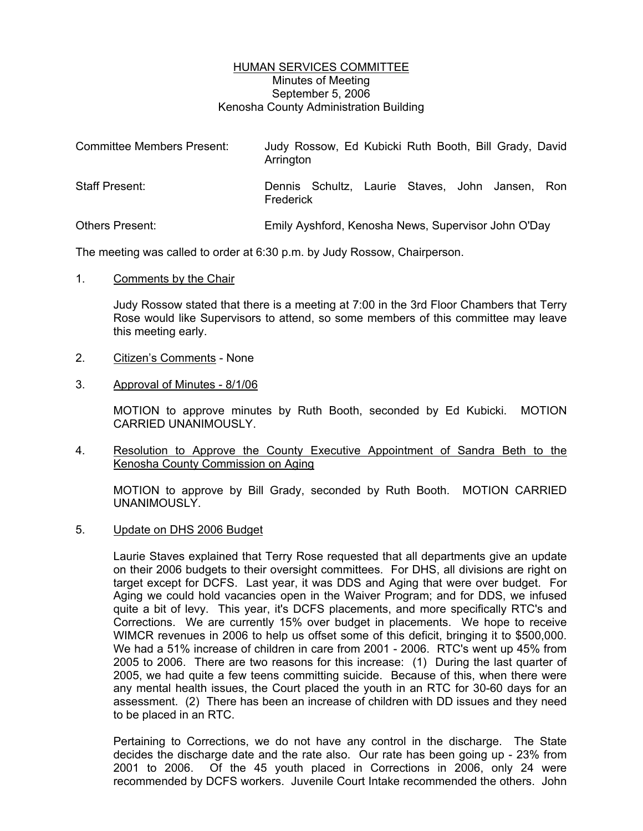## HUMAN SERVICES COMMITTEE Minutes of Meeting September 5, 2006 Kenosha County Administration Building

| <b>Committee Members Present:</b> | Judy Rossow, Ed Kubicki Ruth Booth, Bill Grady, David<br>Arrington |
|-----------------------------------|--------------------------------------------------------------------|
| Staff Present:                    | Dennis Schultz, Laurie Staves, John Jansen, Ron<br>Frederick       |
| <b>Others Present:</b>            | Emily Ayshford, Kenosha News, Supervisor John O'Day                |

The meeting was called to order at 6:30 p.m. by Judy Rossow, Chairperson.

1. Comments by the Chair

Judy Rossow stated that there is a meeting at 7:00 in the 3rd Floor Chambers that Terry Rose would like Supervisors to attend, so some members of this committee may leave this meeting early.

- 2. Citizen's Comments None
- 3. Approval of Minutes 8/1/06

MOTION to approve minutes by Ruth Booth, seconded by Ed Kubicki. MOTION CARRIED UNANIMOUSLY.

4. Resolution to Approve the County Executive Appointment of Sandra Beth to the Kenosha County Commission on Aging

MOTION to approve by Bill Grady, seconded by Ruth Booth. MOTION CARRIED UNANIMOUSLY.

5. Update on DHS 2006 Budget

Laurie Staves explained that Terry Rose requested that all departments give an update on their 2006 budgets to their oversight committees. For DHS, all divisions are right on target except for DCFS. Last year, it was DDS and Aging that were over budget. For Aging we could hold vacancies open in the Waiver Program; and for DDS, we infused quite a bit of levy. This year, it's DCFS placements, and more specifically RTC's and Corrections. We are currently 15% over budget in placements. We hope to receive WIMCR revenues in 2006 to help us offset some of this deficit, bringing it to \$500,000. We had a 51% increase of children in care from 2001 - 2006. RTC's went up 45% from 2005 to 2006. There are two reasons for this increase: (1) During the last quarter of 2005, we had quite a few teens committing suicide. Because of this, when there were any mental health issues, the Court placed the youth in an RTC for 30-60 days for an assessment. (2) There has been an increase of children with DD issues and they need to be placed in an RTC.

Pertaining to Corrections, we do not have any control in the discharge. The State decides the discharge date and the rate also. Our rate has been going up - 23% from 2001 to 2006. Of the 45 youth placed in Corrections in 2006, only 24 were recommended by DCFS workers. Juvenile Court Intake recommended the others. John